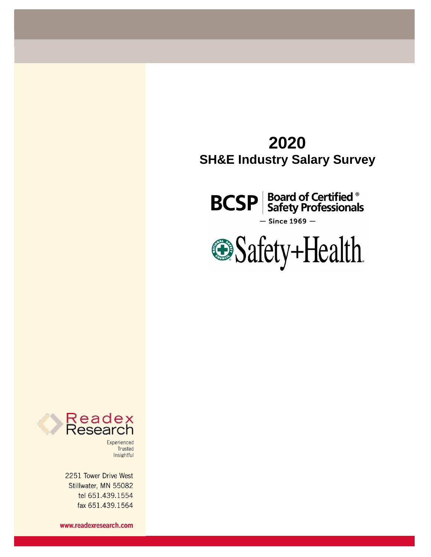# **2020 SH&E Industry Salary Survey**

**BCSP** Board of Certified ®  $-$  Since 1969  $-$ 





Experienced Trusted Insightful

2251 Tower Drive West Stillwater, MN 55082 tel 651.439.1554 fax 651.439.1564

www.readexresearch.com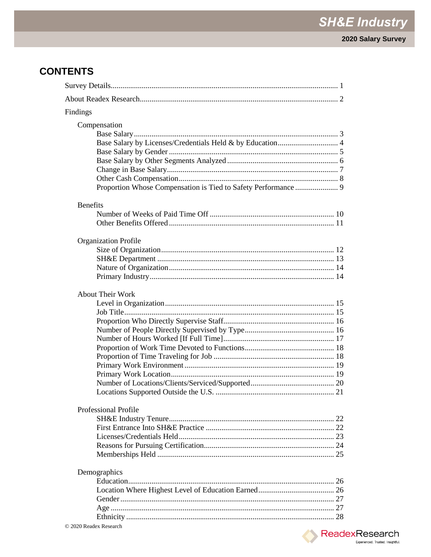## **CONTENTS**

| Findings                                                       |  |
|----------------------------------------------------------------|--|
| Compensation                                                   |  |
|                                                                |  |
|                                                                |  |
|                                                                |  |
|                                                                |  |
|                                                                |  |
|                                                                |  |
| Proportion Whose Compensation is Tied to Safety Performance  9 |  |
| <b>Benefits</b>                                                |  |
|                                                                |  |
|                                                                |  |
|                                                                |  |
| <b>Organization Profile</b>                                    |  |
|                                                                |  |
|                                                                |  |
|                                                                |  |
|                                                                |  |
|                                                                |  |
| <b>About Their Work</b>                                        |  |
|                                                                |  |
|                                                                |  |
|                                                                |  |
|                                                                |  |
|                                                                |  |
|                                                                |  |
|                                                                |  |
|                                                                |  |
|                                                                |  |
|                                                                |  |
|                                                                |  |
|                                                                |  |
| Professional Profile                                           |  |
|                                                                |  |
|                                                                |  |
|                                                                |  |
|                                                                |  |
|                                                                |  |
|                                                                |  |
| Demographics                                                   |  |
|                                                                |  |
|                                                                |  |
|                                                                |  |
|                                                                |  |
|                                                                |  |

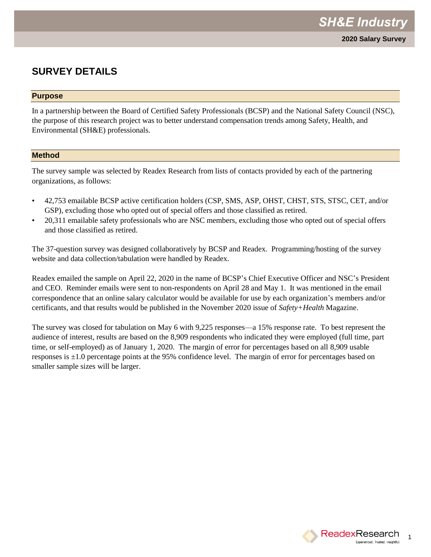### **SURVEY DETAILS**

#### **Purpose**

In a partnership between the Board of Certified Safety Professionals (BCSP) and the National Safety Council (NSC), the purpose of this research project was to better understand compensation trends among Safety, Health, and Environmental (SH&E) professionals.

#### **Method**

The survey sample was selected by Readex Research from lists of contacts provided by each of the partnering organizations, as follows:

- 42,753 emailable BCSP active certification holders (CSP, SMS, ASP, OHST, CHST, STS, STSC, CET, and/or GSP), excluding those who opted out of special offers and those classified as retired.
- 20,311 emailable safety professionals who are NSC members, excluding those who opted out of special offers and those classified as retired.

The 37-question survey was designed collaboratively by BCSP and Readex. Programming/hosting of the survey website and data collection/tabulation were handled by Readex.

Readex emailed the sample on April 22, 2020 in the name of BCSP's Chief Executive Officer and NSC's President and CEO. Reminder emails were sent to non-respondents on April 28 and May 1. It was mentioned in the email correspondence that an online salary calculator would be available for use by each organization's members and/or certificants, and that results would be published in the November 2020 issue of *Safety+Health* Magazine.

The survey was closed for tabulation on May 6 with 9,225 responses—a 15% response rate. To best represent the audience of interest, results are based on the 8,909 respondents who indicated they were employed (full time, part time, or self-employed) as of January 1, 2020. The margin of error for percentages based on all 8,909 usable responses is ±1.0 percentage points at the 95% confidence level. The margin of error for percentages based on smaller sample sizes will be larger.

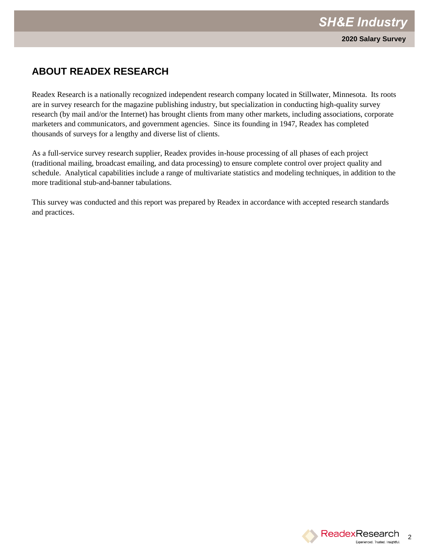## **ABOUT READEX RESEARCH**

Readex Research is a nationally recognized independent research company located in Stillwater, Minnesota. Its roots are in survey research for the magazine publishing industry, but specialization in conducting high-quality survey research (by mail and/or the Internet) has brought clients from many other markets, including associations, corporate marketers and communicators, and government agencies. Since its founding in 1947, Readex has completed thousands of surveys for a lengthy and diverse list of clients.

As a full-service survey research supplier, Readex provides in-house processing of all phases of each project (traditional mailing, broadcast emailing, and data processing) to ensure complete control over project quality and schedule. Analytical capabilities include a range of multivariate statistics and modeling techniques, in addition to the more traditional stub-and-banner tabulations.

This survey was conducted and this report was prepared by Readex in accordance with accepted research standards and practices.

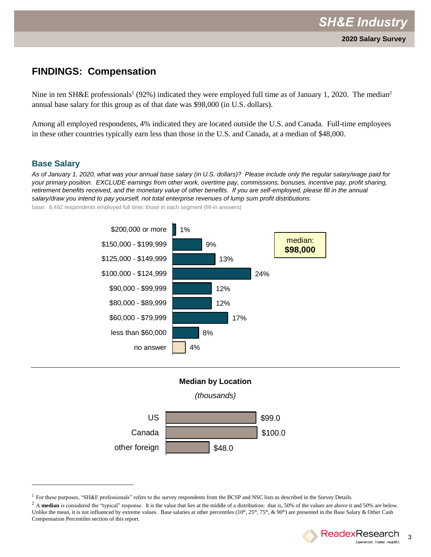Nine in ten SH&E professionals<sup>1</sup> (92%) indicated they were employed full time as of January 1, 2020. The median<sup>2</sup> annual base salary for this group as of that date was \$98,000 (in U.S. dollars).

Among all employed respondents, 4% indicated they are located outside the U.S. and Canada. Full-time employees in these other countries typically earn less than those in the U.S. and Canada, at a median of \$48,000.

#### **Base Salary**

l

*As of January 1, 2020, what was your annual base salary (in U.S. dollars)? Please include only the regular salary/wage paid for your primary position. EXCLUDE earnings from other work, overtime pay, commissions, bonuses, incentive pay, profit sharing, retirement benefits received, and the monetary value of other benefits. If you are self-employed, please fill in the annual salary/draw you intend to pay yourself, not total enterprise revenues of lump sum profit distributions.*

base: 8,492 respondents employed full time; those in each segment (fill-in answers)





<sup>&</sup>lt;sup>2</sup> A median is considered the "typical" response. It is the value that lies at the middle of a distribution: that is, 50% of the values are above it and 50% are below. Unlike the mean, it is not influenced by extreme values. Base salaries at other percentiles  $(10^{th}, 25^{th}, 75^{th}, \& 90^{th})$  are presented in the Base Salary & Other Cash Compensation Percentiles section of this report.



<sup>&</sup>lt;sup>1</sup> For these purposes, "SH&E professionals" refers to the survey respondents from the BCSP and NSC lists as described in the Survey Details.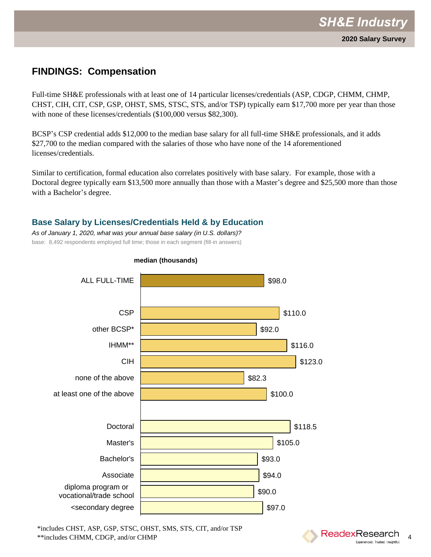Full-time SH&E professionals with at least one of 14 particular licenses/credentials (ASP, CDGP, CHMM, CHMP, CHST, CIH, CIT, CSP, GSP, OHST, SMS, STSC, STS, and/or TSP) typically earn \$17,700 more per year than those with none of these licenses/credentials (\$100,000 versus \$82,300).

BCSP's CSP credential adds \$12,000 to the median base salary for all full-time SH&E professionals, and it adds \$27,700 to the median compared with the salaries of those who have none of the 14 aforementioned licenses/credentials.

Similar to certification, formal education also correlates positively with base salary. For example, those with a Doctoral degree typically earn \$13,500 more annually than those with a Master's degree and \$25,500 more than those with a Bachelor's degree.

### **Base Salary by Licenses/Credentials Held & by Education**

*As of January 1, 2020, what was your annual base salary (in U.S. dollars)?*  base: 8,492 respondents employed full time; those in each segment (fill-in answers)



#### **median (thousands)**

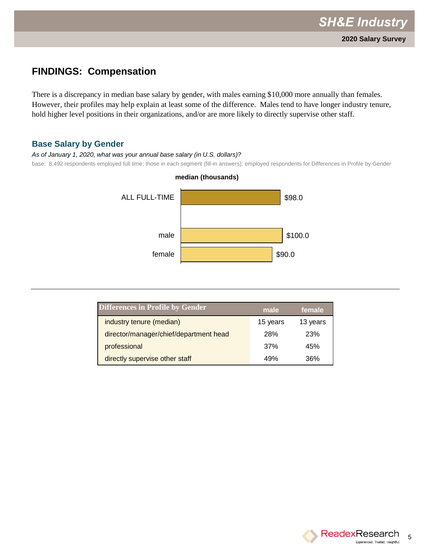There is a discrepancy in median base salary by gender, with males earning \$10,000 more annually than females. However, their profiles may help explain at least some of the difference. Males tend to have longer industry tenure, hold higher level positions in their organizations, and/or are more likely to directly supervise other staff.

#### **Base Salary by Gender**

*As of January 1, 2020, what was your annual base salary (in U.S. dollars)?*

base: 8,492 respondents employed full time; those in each segment (fill-in answers); employed respondents for Differences in Profile by Gender



## **Differences in Profile by Gender male female** industry tenure (median) 15 years 13 years director/manager/chief/department head 28% 23% professional 37% 45% directly supervise other staff and the control of 49% 36%

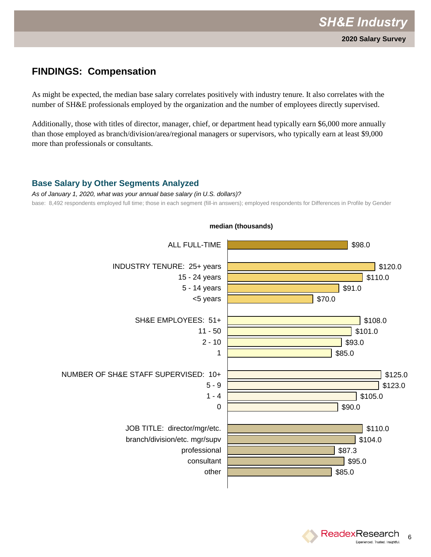As might be expected, the median base salary correlates positively with industry tenure. It also correlates with the number of SH&E professionals employed by the organization and the number of employees directly supervised.

Additionally, those with titles of director, manager, chief, or department head typically earn \$6,000 more annually than those employed as branch/division/area/regional managers or supervisors, who typically earn at least \$9,000 more than professionals or consultants.

#### **Base Salary by Other Segments Analyzed**

*As of January 1, 2020, what was your annual base salary (in U.S. dollars)?* base: 8,492 respondents employed full time; those in each segment (fill-in answers); employed respondents for Differences in Profile by Gender



**median (thousands)**

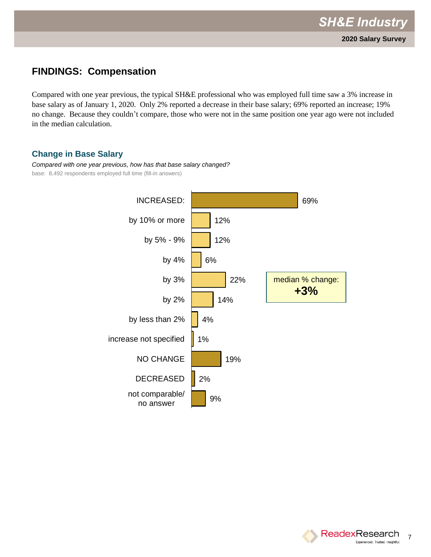Compared with one year previous, the typical SH&E professional who was employed full time saw a 3% increase in base salary as of January 1, 2020. Only 2% reported a decrease in their base salary; 69% reported an increase; 19% no change. Because they couldn't compare, those who were not in the same position one year ago were not included in the median calculation.

### **Change in Base Salary**

*Compared with one year previous, how has that base salary changed?* base: 8,492 respondents employed full time (fill-in answers)



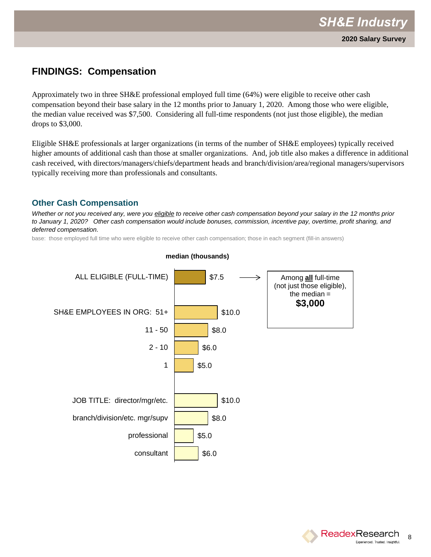Approximately two in three SH&E professional employed full time (64%) were eligible to receive other cash compensation beyond their base salary in the 12 months prior to January 1, 2020. Among those who were eligible, the median value received was \$7,500. Considering all full-time respondents (not just those eligible), the median drops to \$3,000.

Eligible SH&E professionals at larger organizations (in terms of the number of SH&E employees) typically received higher amounts of additional cash than those at smaller organizations. And, job title also makes a difference in additional cash received, with directors/managers/chiefs/department heads and branch/division/area/regional managers/supervisors typically receiving more than professionals and consultants.

#### **Other Cash Compensation**

*Whether or not you received any, were you eligible to receive other cash compensation beyond your salary in the 12 months prior to January 1, 2020? Other cash compensation would include bonuses, commission, incentive pay, overtime, profit sharing, and deferred compensation.* 

base: those employed full time who were eligible to receive other cash compensation; those in each segment (fill-in answers)



#### **median (thousands)**

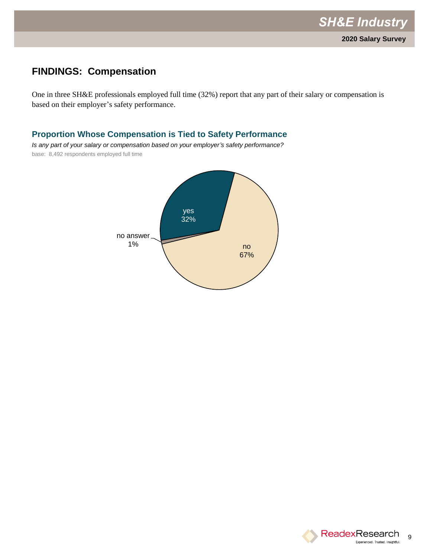One in three SH&E professionals employed full time (32%) report that any part of their salary or compensation is based on their employer's safety performance.

#### **Proportion Whose Compensation is Tied to Safety Performance**

*Is any part of your salary or compensation based on your employer's safety performance?*  base: 8,492 respondents employed full time



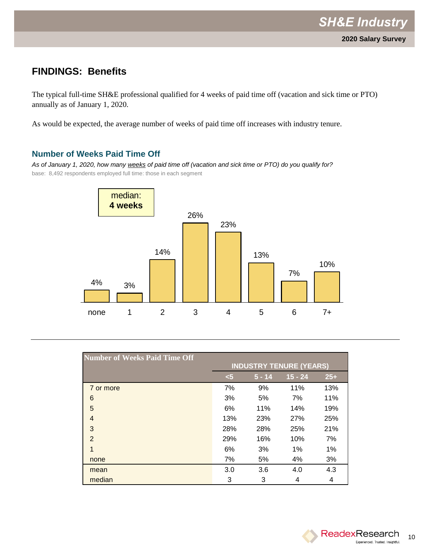### **FINDINGS: Benefits**

The typical full-time SH&E professional qualified for 4 weeks of paid time off (vacation and sick time or PTO) annually as of January 1, 2020.

As would be expected, the average number of weeks of paid time off increases with industry tenure.

#### **Number of Weeks Paid Time Off**

*As of January 1, 2020, how many weeks of paid time off (vacation and sick time or PTO) do you qualify for?* base: 8,492 respondents employed full time: those in each segment



| <b>Number of Weeks Paid Time Off</b> | <b>INDUSTRY TENURE (YEARS)</b> |          |           |       |  |
|--------------------------------------|--------------------------------|----------|-----------|-------|--|
|                                      | $5$                            | $5 - 14$ | $15 - 24$ | $25+$ |  |
| 7 or more                            | 7%                             | 9%       | 11%       | 13%   |  |
| 6                                    | 3%                             | 5%       | 7%        | 11%   |  |
| 5                                    | 6%                             | 11%      | 14%       | 19%   |  |
| 4                                    | 13%                            | 23%      | 27%       | 25%   |  |
| 3                                    | 28%                            | 28%      | 25%       | 21%   |  |
| $\overline{2}$                       | 29%                            | 16%      | 10%       | 7%    |  |
| 1                                    | 6%                             | 3%       | 1%        | 1%    |  |
| none                                 | 7%                             | 5%       | 4%        | 3%    |  |
| mean                                 | 3.0                            | 3.6      | 4.0       | 4.3   |  |
| median                               | 3                              | 3        | 4         | 4     |  |

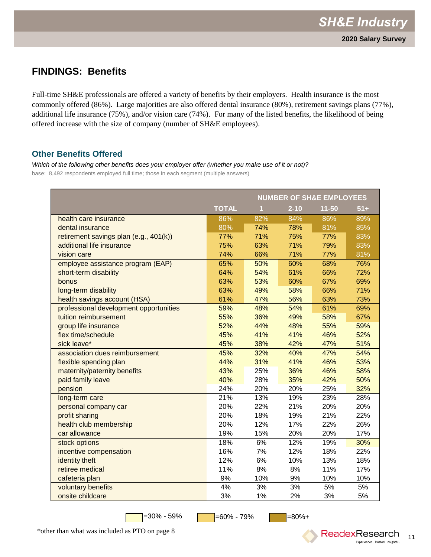### **FINDINGS: Benefits**

Full-time SH&E professionals are offered a variety of benefits by their employers. Health insurance is the most commonly offered (86%). Large majorities are also offered dental insurance (80%), retirement savings plans (77%), additional life insurance (75%), and/or vision care (74%). For many of the listed benefits, the likelihood of being offered increase with the size of company (number of SH&E employees).

#### **Other Benefits Offered**

*Which of the following other benefits does your employer offer (whether you make use of it or not)?* base: 8,492 respondents employed full time; those in each segment (multiple answers)

|                                        |              |                |          | <b>NUMBER OF SH&amp;E EMPLOYEES</b> |       |
|----------------------------------------|--------------|----------------|----------|-------------------------------------|-------|
|                                        | <b>TOTAL</b> | $\overline{1}$ | $2 - 10$ | 11-50                               | $51+$ |
| health care insurance                  | 86%          | 82%            | 84%      | 86%                                 | 89%   |
| dental insurance                       | 80%          | 74%            | 78%      | 81%                                 | 85%   |
| retirement savings plan (e.g., 401(k)) | 77%          | 71%            | 75%      | 77%                                 | 83%   |
| additional life insurance              | 75%          | 63%            | 71%      | 79%                                 | 83%   |
| vision care                            | 74%          | 66%            | 71%      | 77%                                 | 81%   |
| employee assistance program (EAP)      | 65%          | 50%            | 60%      | 68%                                 | 76%   |
| short-term disability                  | 64%          | 54%            | 61%      | 66%                                 | 72%   |
| bonus                                  | 63%          | 53%            | 60%      | 67%                                 | 69%   |
| long-term disability                   | 63%          | 49%            | 58%      | 66%                                 | 71%   |
| health savings account (HSA)           | 61%          | 47%            | 56%      | 63%                                 | 73%   |
| professional development opportunities | 59%          | 48%            | 54%      | 61%                                 | 69%   |
| tuition reimbursement                  | 55%          | 36%            | 49%      | 58%                                 | 67%   |
| group life insurance                   | 52%          | 44%            | 48%      | 55%                                 | 59%   |
| flex time/schedule                     | 45%          | 41%            | 41%      | 46%                                 | 52%   |
| sick leave*                            | 45%          | 38%            | 42%      | 47%                                 | 51%   |
| association dues reimbursement         | 45%          | 32%            | 40%      | 47%                                 | 54%   |
| flexible spending plan                 | 44%          | 31%            | 41%      | 46%                                 | 53%   |
| maternity/paternity benefits           | 43%          | 25%            | 36%      | 46%                                 | 58%   |
| paid family leave                      | 40%          | 28%            | 35%      | 42%                                 | 50%   |
| pension                                | 24%          | 20%            | 20%      | 25%                                 | 32%   |
| long-term care                         | 21%          | 13%            | 19%      | 23%                                 | 28%   |
| personal company car                   | 20%          | 22%            | 21%      | 20%                                 | 20%   |
| profit sharing                         | 20%          | 18%            | 19%      | 21%                                 | 22%   |
| health club membership                 | 20%          | 12%            | 17%      | 22%                                 | 26%   |
| car allowance                          | 19%          | 15%            | 20%      | 20%                                 | 17%   |
| stock options                          | 18%          | 6%             | 12%      | 19%                                 | 30%   |
| incentive compensation                 | 16%          | 7%             | 12%      | 18%                                 | 22%   |
| identity theft                         | 12%          | 6%             | 10%      | 13%                                 | 18%   |
| retiree medical                        | 11%          | 8%             | 8%       | 11%                                 | 17%   |
| cafeteria plan                         | 9%           | 10%            | 9%       | 10%                                 | 10%   |
| voluntary benefits                     | 4%           | 3%             | 3%       | 5%                                  | 5%    |
| onsite childcare                       | 3%           | 1%             | 2%       | 3%                                  | 5%    |

 $=30\% - 59\%$   $\qquad \qquad \boxed{\qquad} =60\% - 79\%$   $\qquad \qquad \boxed{\qquad} =80\% +$ 



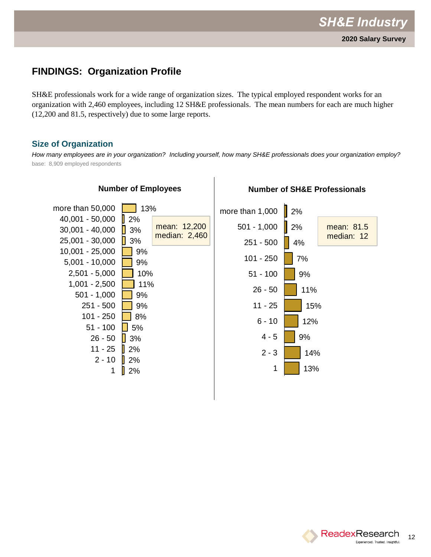### **FINDINGS: Organization Profile**

SH&E professionals work for a wide range of organization sizes. The typical employed respondent works for an organization with 2,460 employees, including 12 SH&E professionals. The mean numbers for each are much higher (12,200 and 81.5, respectively) due to some large reports.

#### **Size of Organization**

*How many employees are in your organization? Including yourself, how many SH&E professionals does your organization employ?* base: 8,909 employed respondents



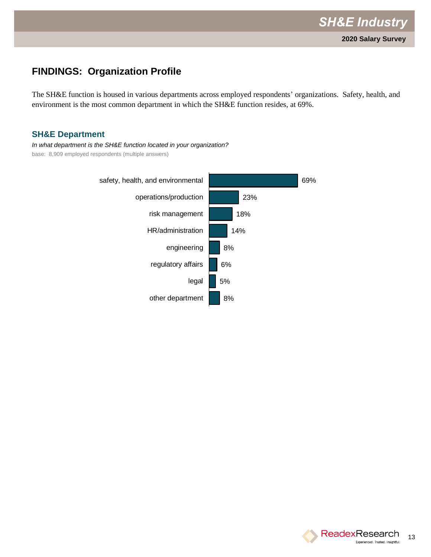### **FINDINGS: Organization Profile**

The SH&E function is housed in various departments across employed respondents' organizations. Safety, health, and environment is the most common department in which the SH&E function resides, at 69%.

#### **SH&E Department**

*In what department is the SH&E function located in your organization?* base: 8,909 employed respondents (multiple answers)



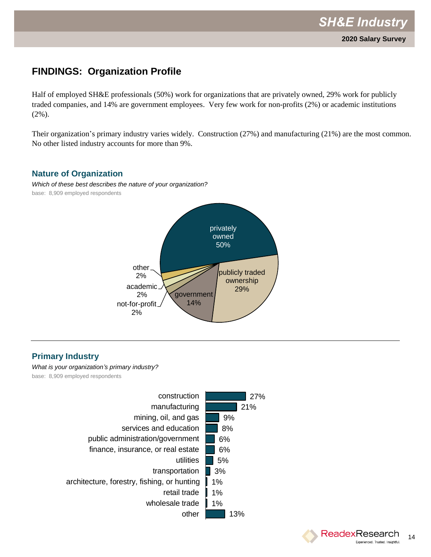## **FINDINGS: Organization Profile**

Half of employed SH&E professionals (50%) work for organizations that are privately owned, 29% work for publicly traded companies, and 14% are government employees. Very few work for non-profits (2%) or academic institutions (2%).

Their organization's primary industry varies widely. Construction (27%) and manufacturing (21%) are the most common. No other listed industry accounts for more than 9%.

#### **Nature of Organization**

*Which of these best describes the nature of your organization?* base: 8,909 employed respondents



### **Primary Industry**

*What is your organization's primary industry?* base: 8,909 employed respondents



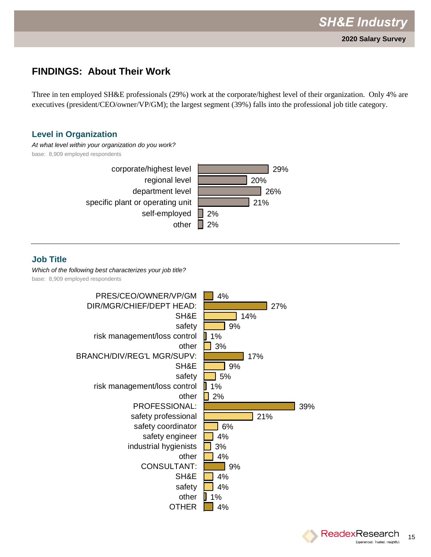Three in ten employed SH&E professionals (29%) work at the corporate/highest level of their organization. Only 4% are executives (president/CEO/owner/VP/GM); the largest segment (39%) falls into the professional job title category.

#### **Level in Organization**

*At what level within your organization do you work?* base: 8,909 employed respondents 29% 20% 26% 21% 2%  $\blacksquare$  2% corporate/highest level regional level department level specific plant or operating unit self-employed other

### **Job Title**

*Which of the following best characterizes your job title?* base: 8,909 employed respondents



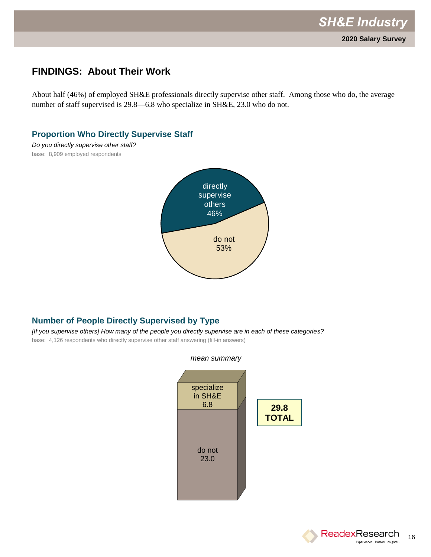About half (46%) of employed SH&E professionals directly supervise other staff. Among those who do, the average number of staff supervised is 29.8—6.8 who specialize in SH&E, 23.0 who do not.

#### **Proportion Who Directly Supervise Staff**

*Do you directly supervise other staff?* base: 8,909 employed respondents



### **Number of People Directly Supervised by Type**

*[If you supervise others] How many of the people you directly supervise are in each of these categories?*

base: 4,126 respondents who directly supervise other staff answering (fill-in answers)





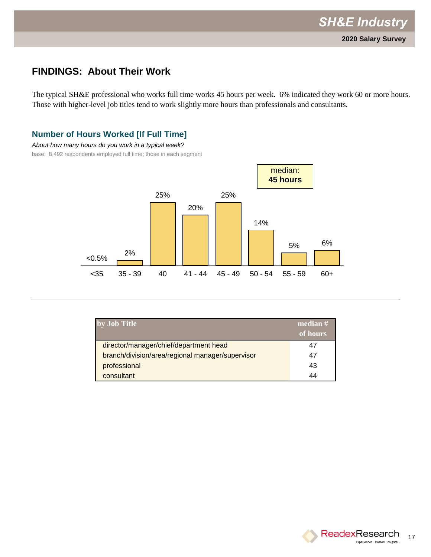The typical SH&E professional who works full time works 45 hours per week. 6% indicated they work 60 or more hours. Those with higher-level job titles tend to work slightly more hours than professionals and consultants.

#### **Number of Hours Worked [If Full Time]**

*About how many hours do you work in a typical week?*

base: 8,492 respondents employed full time; those in each segment



| by Job Title                                     | median $#$<br>of hours |
|--------------------------------------------------|------------------------|
| director/manager/chief/department head           | 47                     |
| branch/division/area/regional manager/supervisor | 47                     |
| professional                                     | 43                     |
| consultant                                       | 44                     |

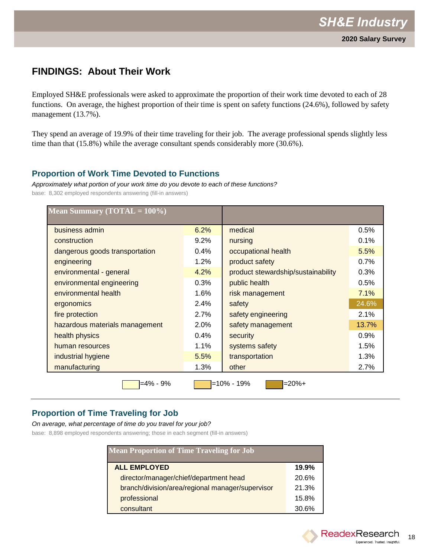Employed SH&E professionals were asked to approximate the proportion of their work time devoted to each of 28 functions. On average, the highest proportion of their time is spent on safety functions (24.6%), followed by safety management (13.7%).

They spend an average of 19.9% of their time traveling for their job. The average professional spends slightly less time than that (15.8%) while the average consultant spends considerably more (30.6%).

#### **Proportion of Work Time Devoted to Functions**

*Approximately what portion of your work time do you devote to each of these functions?* base: 8,302 employed respondents answering (fill-in answers)

| Mean Summary (TOTAL = $100\%$ ) |         |                                    |       |
|---------------------------------|---------|------------------------------------|-------|
| business admin                  | 6.2%    | medical                            | 0.5%  |
| construction                    | 9.2%    | nursing                            | 0.1%  |
| dangerous goods transportation  | 0.4%    | occupational health                | 5.5%  |
| engineering                     | 1.2%    | product safety                     | 0.7%  |
| environmental - general         | 4.2%    | product stewardship/sustainability | 0.3%  |
| environmental engineering       | 0.3%    | public health                      | 0.5%  |
| environmental health            | 1.6%    | risk management                    | 7.1%  |
| ergonomics                      | 2.4%    | safety                             | 24.6% |
| fire protection                 | 2.7%    | safety engineering                 | 2.1%  |
| hazardous materials management  | $2.0\%$ | safety management                  | 13.7% |
| health physics                  | 0.4%    | security                           | 0.9%  |
| human resources                 | 1.1%    | systems safety                     | 1.5%  |
| industrial hygiene              | 5.5%    | transportation                     | 1.3%  |
| manufacturing                   | 1.3%    | other                              | 2.7%  |
| $=4\% - 9\%$                    |         | $=20%+$<br>=10% - 19%              |       |

### **Proportion of Time Traveling for Job**

#### *On average, what percentage of time do you travel for your job?*

base: 8,898 employed respondents answering; those in each segment (fill-in answers)

| <b>Mean Proportion of Time Traveling for Job</b> |       |
|--------------------------------------------------|-------|
| <b>ALL EMPLOYED</b>                              | 19.9% |
| director/manager/chief/department head           | 20.6% |
| branch/division/area/regional manager/supervisor | 21.3% |
| professional                                     | 15.8% |
| consultant                                       | 30.6% |

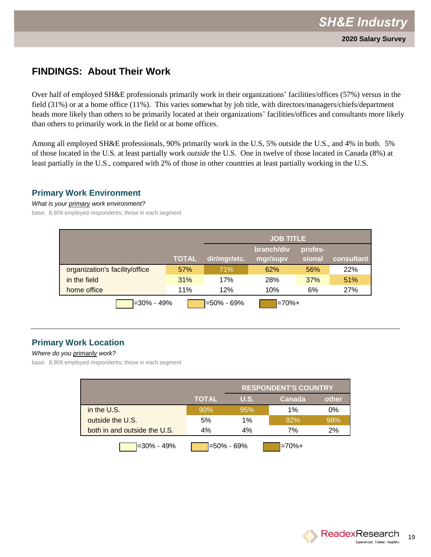Over half of employed SH&E professionals primarily work in their organizations' facilities/offices (57%) versus in the field (31%) or at a home office (11%). This varies somewhat by job title, with directors/managers/chiefs/department heads more likely than others to be primarily located at their organizations' facilities/offices and consultants more likely than others to primarily work in the field or at home offices.

Among all employed SH&E professionals, 90% primarily work in the U.S, 5% outside the U.S., and 4% in both. 5% of those located in the U.S. at least partially work *outside* the U.S. One in twelve of those located in Canada (8%) at least partially in the U.S., compared with 2% of those in other countries at least partially working in the U.S.

#### **Primary Work Environment**

*What is your primary work environment?*

base: 8,909 employed respondents; those in each segment

|                                |              | <b>JOB TITLE</b> |                        |                   |            |
|--------------------------------|--------------|------------------|------------------------|-------------------|------------|
|                                | <b>TOTAL</b> | dir/mgr/etc.     | branch/div<br>mgr/supv | profes-<br>sional | consultant |
| organization's facility/office | 57%          | <b>71%</b>       | 62%                    | 56%               | <b>22%</b> |
| in the field                   | 31%          | 17%              | 28%                    | 37%               | 51%        |
| home office                    | 11%          | 12%              | 10%                    | 6%                | 27%        |
| $-30\% - 49\%$                 |              | $=50\% - 69\%$   | $=70%+$                |                   |            |

### **Primary Work Location**

#### *Where do you primarily work?*

base: 8,909 employed respondents; those in each segment

|                              | <b>RESPONDENT'S COUNTRY</b> |            |             |       |
|------------------------------|-----------------------------|------------|-------------|-------|
|                              | <b>TOTAL</b>                | U.S.       | Canada      | other |
| in the U.S.                  | 90%                         | 95%        | 1%          | $0\%$ |
| outside the U.S.             | 5%                          | 1%         | 92%         | 98%   |
| both in and outside the U.S. | $4\%$                       | 4%         | 7%          | 2%    |
| l=30% - 49%                  |                             | =50% - 69% | $I = 70% +$ |       |

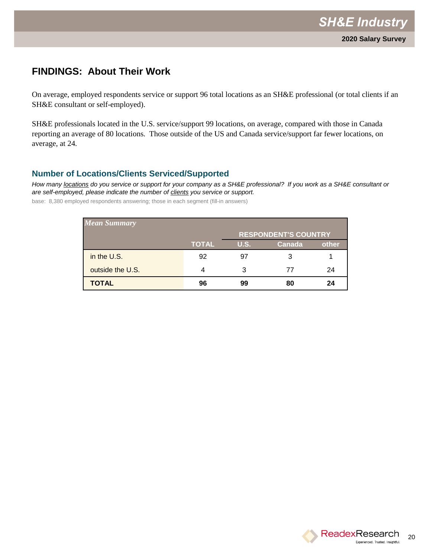On average, employed respondents service or support 96 total locations as an SH&E professional (or total clients if an SH&E consultant or self-employed).

SH&E professionals located in the U.S. service/support 99 locations, on average, compared with those in Canada reporting an average of 80 locations. Those outside of the US and Canada service/support far fewer locations, on average, at 24.

#### **Number of Locations/Clients Serviced/Supported**

*How many locations do you service or support for your company as a SH&E professional? If you work as a SH&E consultant or are self-employed, please indicate the number of clients you service or support.*

base: 8,380 employed respondents answering; those in each segment (fill-in answers)

| <b>Mean Summary</b> |              |      |                             |       |
|---------------------|--------------|------|-----------------------------|-------|
|                     |              |      | <b>RESPONDENT'S COUNTRY</b> |       |
|                     | <b>TOTAL</b> | U.S. | Canada                      | other |
| in the U.S.         | 92           | 97   | З                           |       |
| outside the U.S.    |              | 3    | 77                          | 24    |
| <b>TOTAL</b>        | 96           | 99   | 80                          | 24    |

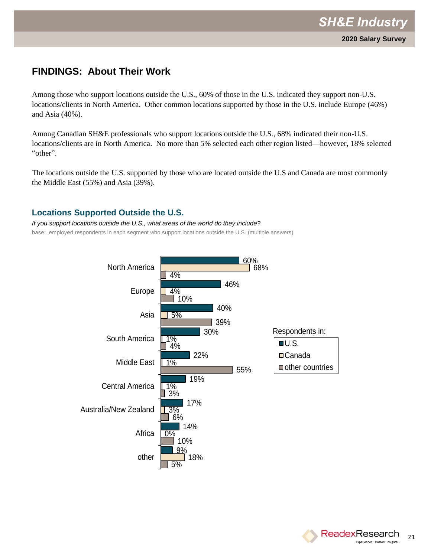Among those who support locations outside the U.S., 60% of those in the U.S. indicated they support non-U.S. locations/clients in North America. Other common locations supported by those in the U.S. include Europe (46%) and Asia (40%).

Among Canadian SH&E professionals who support locations outside the U.S., 68% indicated their non-U.S. locations/clients are in North America. No more than 5% selected each other region listed—however, 18% selected "other".

The locations outside the U.S. supported by those who are located outside the U.S and Canada are most commonly the Middle East (55%) and Asia (39%).

#### **Locations Supported Outside the U.S.**

*If you support locations outside the U.S., what areas of the world do they include?* base: employed respondents in each segment who support locations outside the U.S. (multiple answers)



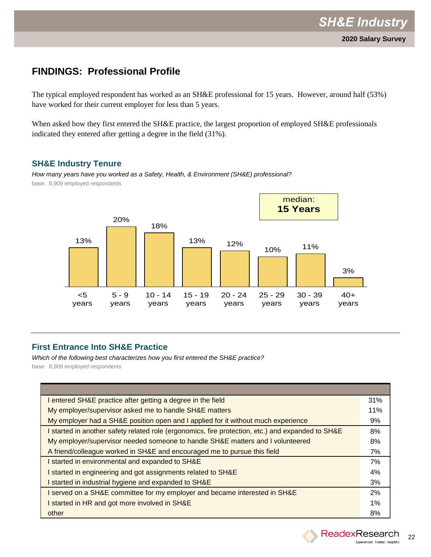The typical employed respondent has worked as an SH&E professional for 15 years. However, around half (53%) have worked for their current employer for less than 5 years.

When asked how they first entered the SH&E practice, the largest proportion of employed SH&E professionals indicated they entered after getting a degree in the field (31%).

#### **SH&E Industry Tenure**

*How many years have you worked as a Safety, Health, & Environment (SH&E) professional?* base: 8,909 employed respondents



### **First Entrance Into SH&E Practice**

*Which of the following best characterizes how you first entered the SH&E practice?* base: 8,909 employed respondents

| I entered SH&E practice after getting a degree in the field                                       | 31% |
|---------------------------------------------------------------------------------------------------|-----|
| My employer/supervisor asked me to handle SH&E matters                                            | 11% |
| My employer had a SH&E position open and I applied for it without much experience                 | 9%  |
| I started in another safety related role (ergonomics, fire protection, etc.) and expanded to SH&E | 8%  |
| My employer/supervisor needed someone to handle SH&E matters and I volunteered                    | 8%  |
| A friend/colleague worked in SH&E and encouraged me to pursue this field                          | 7%  |
| started in environmental and expanded to SH&E                                                     | 7%  |
| started in engineering and got assignments related to SH&E                                        | 4%  |
| started in industrial hygiene and expanded to SH&E                                                | 3%  |
| I served on a SH&E committee for my employer and became interested in SH&E                        | 2%  |
| started in HR and got more involved in SH&E                                                       | 1%  |
| other                                                                                             | 8%  |

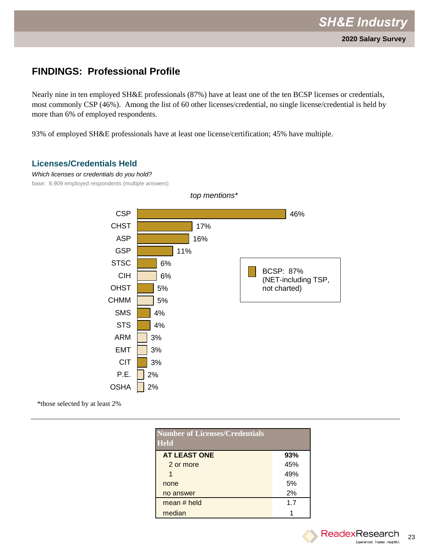Nearly nine in ten employed SH&E professionals (87%) have at least one of the ten BCSP licenses or credentials, most commonly CSP (46%). Among the list of 60 other licenses/credential, no single license/credential is held by more than 6% of employed respondents.

93% of employed SH&E professionals have at least one license/certification; 45% have multiple.

#### **Licenses/Credentials Held**

*Which licenses or credentials do you hold?* base: 8,909 employed respondents (multiple answers)



\*those selected by at least 2%

| <b>Number of Licenses/Credentials</b><br><b>Held</b> |     |
|------------------------------------------------------|-----|
| <b>AT LEAST ONE</b>                                  | 93% |
| 2 or more                                            | 45% |
| 1                                                    | 49% |
| none                                                 | 5%  |
| no answer                                            | 2%  |
| mean # held                                          | 17  |
| median                                               |     |

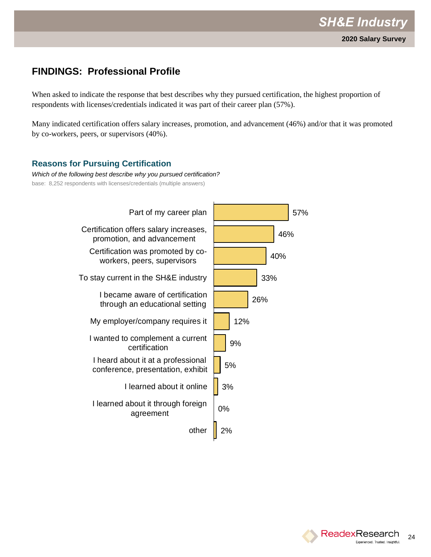When asked to indicate the response that best describes why they pursued certification, the highest proportion of respondents with licenses/credentials indicated it was part of their career plan (57%).

Many indicated certification offers salary increases, promotion, and advancement (46%) and/or that it was promoted by co-workers, peers, or supervisors (40%).

### **Reasons for Pursuing Certification**

*Which of the following best describe why you pursued certification?* base: 8,252 respondents with licenses/credentials (multiple answers)



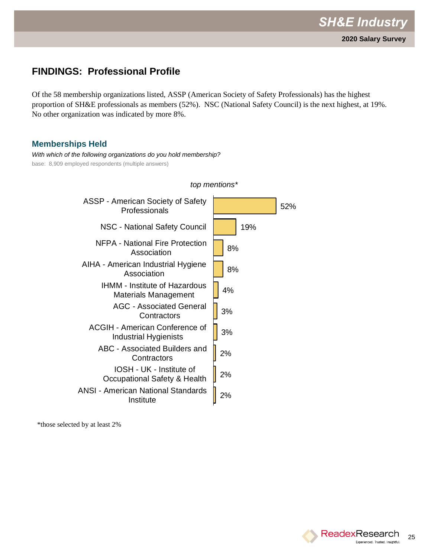Of the 58 membership organizations listed, ASSP (American Society of Safety Professionals) has the highest proportion of SH&E professionals as members (52%). NSC (National Safety Council) is the next highest, at 19%. No other organization was indicated by more 8%.

*top mentions\**

#### **Memberships Held**

*With which of the following organizations do you hold membership?* base: 8,909 employed respondents (multiple answers)

| ASSP - American Society of Safety<br>Professionals             | 52% |  |
|----------------------------------------------------------------|-----|--|
| NSC - National Safety Council                                  | 19% |  |
| NFPA - National Fire Protection<br>Association                 | 8%  |  |
| AIHA - American Industrial Hygiene<br>Association              | 8%  |  |
| <b>IHMM - Institute of Hazardous</b><br>Materials Management   | 4%  |  |
| <b>AGC - Associated General</b><br>Contractors                 | 3%  |  |
| <b>ACGIH - American Conference of</b><br>Industrial Hygienists | 3%  |  |
| ABC - Associated Builders and<br>Contractors                   | 2%  |  |
| IOSH - UK - Institute of<br>Occupational Safety & Health       | 2%  |  |
| <b>ANSI - American National Standards</b><br>Institute         | 2%  |  |

\*those selected by at least 2%

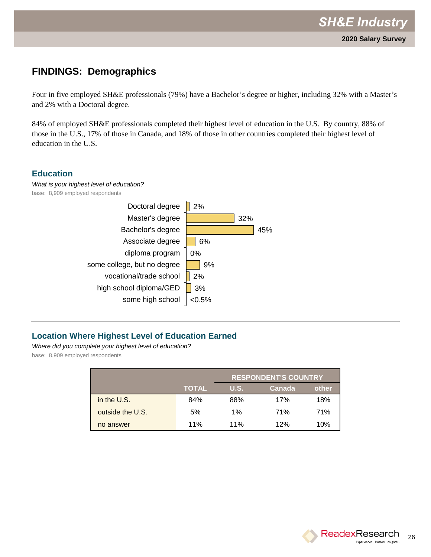### **FINDINGS: Demographics**

Four in five employed SH&E professionals (79%) have a Bachelor's degree or higher, including 32% with a Master's and 2% with a Doctoral degree.

84% of employed SH&E professionals completed their highest level of education in the U.S. By country, 88% of those in the U.S., 17% of those in Canada, and 18% of those in other countries completed their highest level of education in the U.S.

### **Education**





### **Location Where Highest Level of Education Earned**

*Where did you complete your highest level of education?* base: 8,909 employed respondents

|                  |              | <b>RESPONDENT'S COUNTRY</b> |        |       |
|------------------|--------------|-----------------------------|--------|-------|
|                  | <b>TOTAL</b> | <b>U.S.</b>                 | Canada | other |
| in the U.S.      | 84%          | 88%                         | 17%    | 18%   |
| outside the U.S. | 5%           | 1%                          | 71%    | 71%   |
| no answer        | 11%          | 11%                         | 12%    | 10%   |

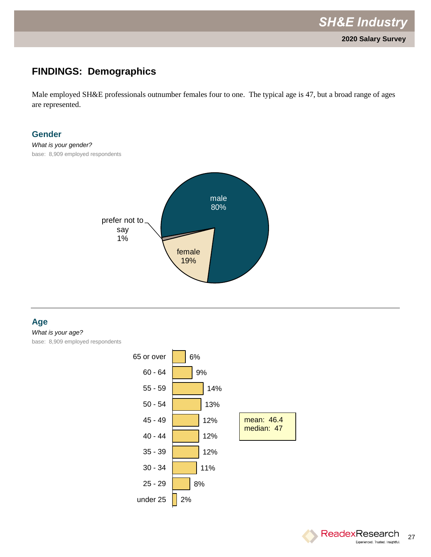## **FINDINGS: Demographics**

Male employed SH&E professionals outnumber females four to one. The typical age is 47, but a broad range of ages are represented.

#### **Gender**

*What is your gender?*  base: 8,909 employed respondents



#### **Age**

*What is your age?*  base: 8,909 employed respondents